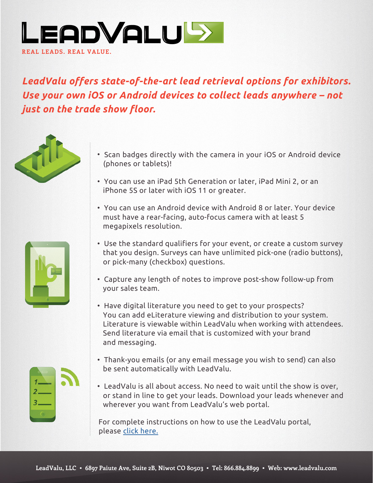

# *LeadValu offers state-of-the-art lead retrieval options for exhibitors. Use your own iOS or Android devices to collect leads anywhere – not just on the trade show floor.*







- Scan badges directly with the camera in your iOS or Android device (phones or tablets)!
- You can use an iPad 5th Generation or later, iPad Mini 2, or an iPhone 5S or later with iOS 11 or greater.
- You can use an Android device with Android 8 or later. Your device must have a rear-facing, auto-focus camera with at least 5 megapixels resolution.
- Use the standard qualifiers for your event, or create a custom survey that you design. Surveys can have unlimited pick-one (radio buttons), or pick-many (checkbox) questions.
- Capture any length of notes to improve post-show follow-up from your sales team.
- Have digital literature you need to get to your prospects? You can add eLiterature viewing and distribution to your system. Literature is viewable within LeadValu when working with attendees. Send literature via email that is customized with your brand and messaging.
- Thank-you emails (or any email message you wish to send) can also be sent automatically with LeadValu.
- LeadValu is all about access. No need to wait until the show is over, or stand in line to get your leads. Download your leads whenever and wherever you want from LeadValu's web portal.

For complete instructions on how to use the LeadValu portal, please [click here.](http://www.leadvalu.com/admin/openDocument.php?co=6&id=826)